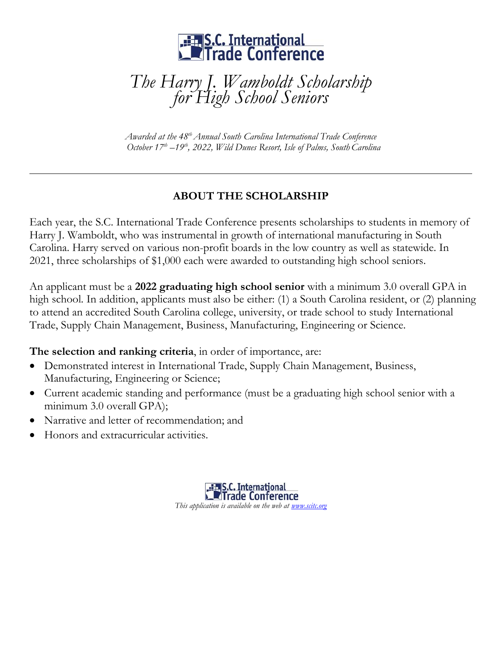

*The Harry J. Wamboldt Scholarship for High School Seniors*

*Awarded at the 48 thAnnual South Carolina International Trade Conference October 17 th –19 th, 2022, Wild Dunes Resort, Isle of Palms, SouthCarolina*

## **ABOUT THE SCHOLARSHIP**

Each year, the S.C. International Trade Conference presents scholarships to students in memory of Harry J. Wamboldt, who was instrumental in growth of international manufacturing in South Carolina. Harry served on various non-profit boards in the low country as well as statewide. In 2021, three scholarships of \$1,000 each were awarded to outstanding high school seniors.

An applicant must be a **2022 graduating high school senior** with a minimum 3.0 overall GPA in high school. In addition, applicants must also be either: (1) a South Carolina resident, or (2) planning to attend an accredited South Carolina college, university, or trade school to study International Trade, Supply Chain Management, Business, Manufacturing, Engineering or Science.

**The selection and ranking criteria**, in order of importance, are:

- Demonstrated interest in International Trade, Supply Chain Management, Business, Manufacturing, Engineering or Science;
- Current academic standing and performance (must be a graduating high school senior with a minimum 3.0 overall GPA);
- Narrative and letter of recommendation; and
- Honors and extracurricular activities.